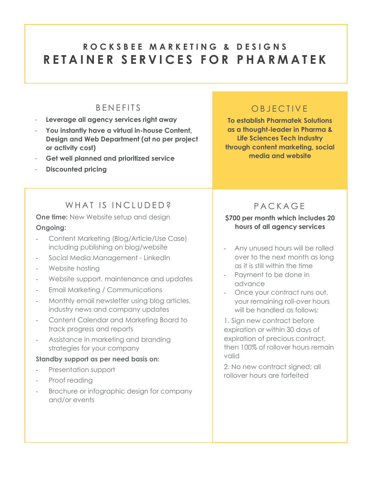# **R O C K S B E E M A R K E T I N G & D E S I G N S R E T A I N E R S E R V I C E S F O R P H A R M A T E K**

### **B EN FFITS**

- **Leverage all agency services right away**
- **You instantly have a virtual in-house Content, Design and Web Department (at no per project or activity cost)**
- **Get well planned and prioritized service**
- **Discounted pricing**

### O B I F C T I V F

**To establish Pharmatek Solutions as a thought-leader in Pharma & Life Sciences Tech industry through content marketing, social media and website** 

## WHAT IS INCLUDED?

**One time:** New Website setup and design **Ongoing:**

- Content Marketing (Blog/Article/Use Case) including publishing on blog/website
- Social Media Management LinkedIn
- Website hosting
- Website support, maintenance and updates
- Email Marketing / Communications
- Monthly email newsletter using blog articles, industry news and company updates
- Content Calendar and Marketing Board to track progress and reports
- Assistance in marketing and branding strategies for your company

#### **Standby support as per need basis on:**

- Presentation support
- Proof reading
- Brochure or infographic design for company and/or events

## P A C K A G E

### **\$700 per month which includes 20 hours of all agency services**

- Any unused hours will be rolled over to the next month as long as it is still within the time
- Payment to be done in advance
- Once your contract runs out, your remaining roll-over hours will be handled as follows:

1. Sign new contract before expiration or within 30 days of expiration of precious contract, then 100% of rollover hours remain valid

2. No new contract signed; all rollover hours are forfeited